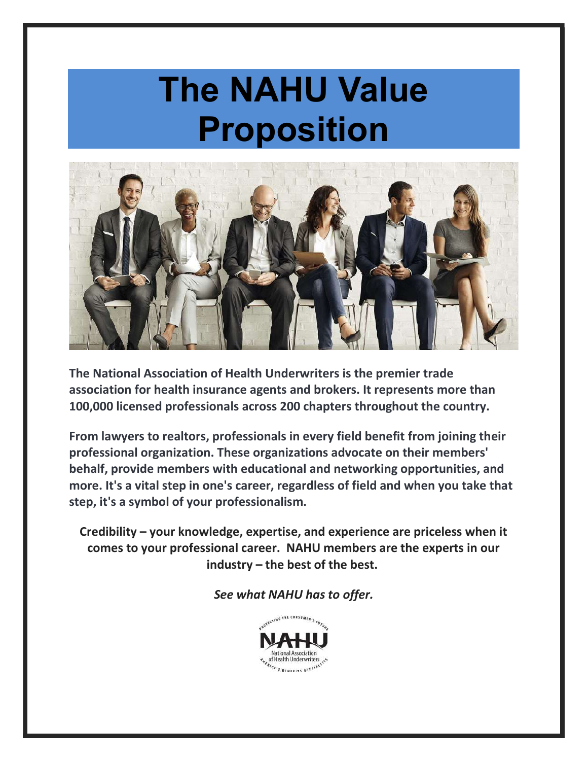# The NAHU Value Proposition



The National Association of Health Underwriters is the premier trade association for health insurance agents and brokers. It represents more than 100,000 licensed professionals across 200 chapters throughout the country.

From lawyers to realtors, professionals in every field benefit from joining their professional organization. These organizations advocate on their members' behalf, provide members with educational and networking opportunities, and more. It's a vital step in one's career, regardless of field and when you take that step, it's a symbol of your professionalism.

Credibility – your knowledge, expertise, and experience are priceless when it comes to your professional career. NAHU members are the experts in our industry – the best of the best.

See what NAHU has to offer.